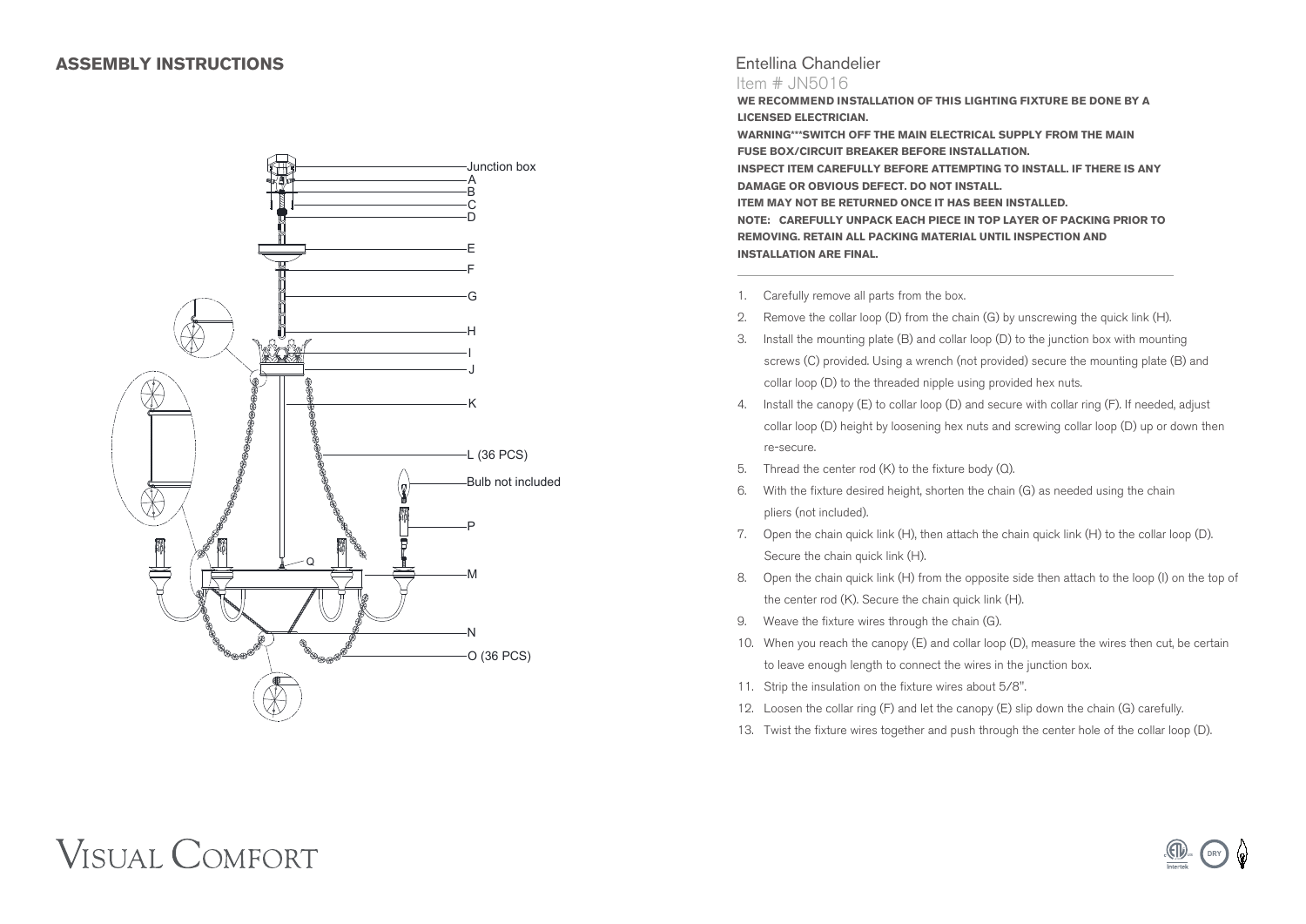

## Entellina Chandelier

#### Item # JN5016

**WE RECOMMEND INSTALLATION OF THIS LIGHTING FIXTURE BE DONE BY A LICENSED ELECTRICIAN.**

**WARNING\*\*\*SWITCH OFF THE MAIN ELECTRICAL SUPPLY FROM THE MAIN FUSE BOX/CIRCUIT BREAKER BEFORE INSTALLATION. INSPECT ITEM CAREFULLY BEFORE ATTEMPTING TO INSTALL. IF THERE IS ANY DAMAGE OR OBVIOUS DEFECT. DO NOT INSTALL. ITEM MAY NOT BE RETURNED ONCE IT HAS BEEN INSTALLED. NOTE: CAREFULLY UNPACK EACH PIECE IN TOP LAYER OF PACKING PRIOR TO REMOVING. RETAIN ALL PACKING MATERIAL UNTIL INSPECTION AND INSTALLATION ARE FINAL.**

- 1. Carefully remove all parts from the box.
- 2. Remove the collar loop (D) from the chain (G) by unscrewing the quick link (H).
- 3. Install the mounting plate (B) and collar loop (D) to the junction box with mounting screws (C) provided. Using a wrench (not provided) secure the mounting plate (B) and collar loop (D) to the threaded nipple using provided hex nuts.
- 4. Install the canopy (E) to collar loop (D) and secure with collar ring (F). If needed, adjust collar loop (D) height by loosening hex nuts and screwing collar loop (D) up or down then re-secure.
- 5. Thread the center rod (K) to the fixture body (Q).
- 6. With the fixture desired height, shorten the chain (G) as needed using the chain pliers (not included).
- 7. Open the chain quick link (H), then attach the chain quick link (H) to the collar loop (D). Secure the chain quick link (H).
- 8. Open the chain quick link (H) from the opposite side then attach to the loop (I) on the top of the center rod (K). Secure the chain quick link (H).
- 9. Weave the fixture wires through the chain (G).
- 10. When you reach the canopy (E) and collar loop (D), measure the wires then cut, be certain to leave enough length to connect the wires in the junction box.
- 11. Strip the insulation on the fixture wires about 5/8".
- 12. Loosen the collar ring (F) and let the canopy (E) slip down the chain (G) carefully.
- 13. Twist the fixture wires together and push through the center hole of the collar loop (D).

## **VISUAL COMFORT**